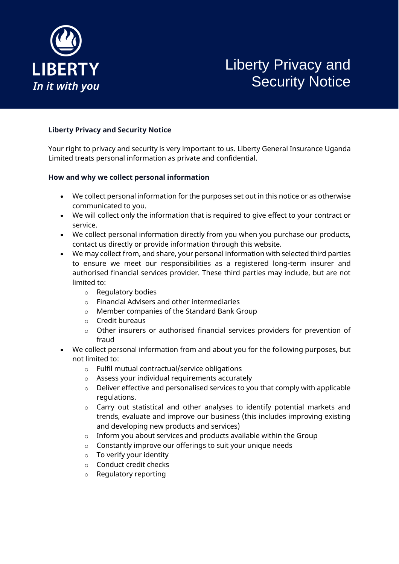

# Liberty Privacy and Security Notice

#### **Liberty Privacy and Security Notice**

Your right to privacy and security is very important to us. Liberty General Insurance Uganda Limited treats personal information as private and confidential.

#### **How and why we collect personal information**

- We collect personal information for the purposes set out in this notice or as otherwise communicated to you.
- We will collect only the information that is required to give effect to your contract or service.
- We collect personal information directly from you when you purchase our products, contact us directly or provide information through this website.
- We may collect from, and share, your personal information with selected third parties to ensure we meet our responsibilities as a registered long-term insurer and authorised financial services provider. These third parties may include, but are not limited to:
	- o Regulatory bodies
	- o Financial Advisers and other intermediaries
	- o Member companies of the Standard Bank Group
	- o Credit bureaus
	- o Other insurers or authorised financial services providers for prevention of fraud
- We collect personal information from and about you for the following purposes, but not limited to:
	- o Fulfil mutual contractual/service obligations
	- o Assess your individual requirements accurately
	- o Deliver effective and personalised services to you that comply with applicable regulations.
	- o Carry out statistical and other analyses to identify potential markets and trends, evaluate and improve our business (this includes improving existing and developing new products and services)
	- o Inform you about services and products available within the Group
	- o Constantly improve our offerings to suit your unique needs
	- o To verify your identity
	- o Conduct credit checks
	- o Regulatory reporting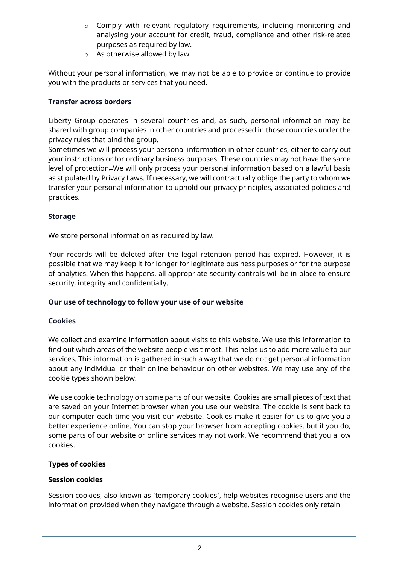- o Comply with relevant regulatory requirements, including monitoring and analysing your account for credit, fraud, compliance and other risk-related purposes as required by law.
- o As otherwise allowed by law

Without your personal information, we may not be able to provide or continue to provide you with the products or services that you need.

## **Transfer across borders**

Liberty Group operates in several countries and, as such, personal information may be shared with group companies in other countries and processed in those countries under the privacy rules that bind the group.

Sometimes we will process your personal information in other countries, either to carry out your instructions or for ordinary business purposes. These countries may not have the same level of protection. We will only process your personal information based on a lawful basis as stipulated by Privacy Laws. If necessary, we will contractually oblige the party to whom we transfer your personal information to uphold our privacy principles, associated policies and practices.

# **Storage**

We store personal information as required by law.

Your records will be deleted after the legal retention period has expired. However, it is possible that we may keep it for longer for legitimate business purposes or for the purpose of analytics. When this happens, all appropriate security controls will be in place to ensure security, integrity and confidentially.

## **Our use of technology to follow your use of our website**

## **Cookies**

We collect and examine information about visits to this website. We use this information to find out which areas of the website people visit most. This helps us to add more value to our services. This information is gathered in such a way that we do not get personal information about any individual or their online behaviour on other websites. We may use any of the cookie types shown below.

We use cookie technology on some parts of our website. Cookies are small pieces of text that are saved on your Internet browser when you use our website. The cookie is sent back to our computer each time you visit our website. Cookies make it easier for us to give you a better experience online. You can stop your browser from accepting cookies, but if you do, some parts of our website or online services may not work. We recommend that you allow cookies.

## **Types of cookies**

## **Session cookies**

Session cookies, also known as 'temporary cookies', help websites recognise users and the information provided when they navigate through a website. Session cookies only retain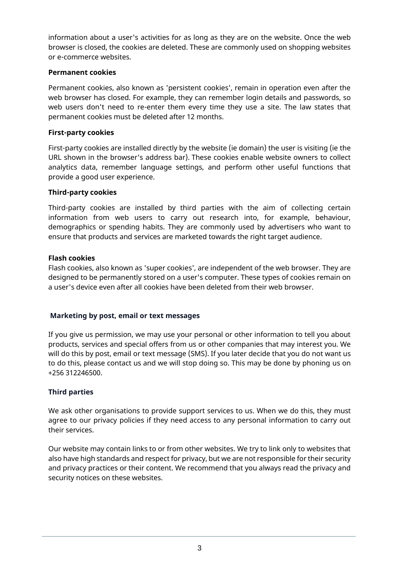information about a user's activities for as long as they are on the website. Once the web browser is closed, the cookies are deleted. These are commonly used on shopping websites or e-commerce websites.

## **Permanent cookies**

Permanent cookies, also known as 'persistent cookies', remain in operation even after the web browser has closed. For example, they can remember login details and passwords, so web users don't need to re-enter them every time they use a site. The law states that permanent cookies must be deleted after 12 months.

#### **First-party cookies**

First-party cookies are installed directly by the website (ie domain) the user is visiting (ie the URL shown in the browser's address bar). These cookies enable website owners to collect analytics data, remember language settings, and perform other useful functions that provide a good user experience.

#### **Third-party cookies**

Third-party cookies are installed by third parties with the aim of collecting certain information from web users to carry out research into, for example, behaviour, demographics or spending habits. They are commonly used by advertisers who want to ensure that products and services are marketed towards the right target audience.

#### **Flash cookies**

Flash cookies, also known as 'super cookies', are independent of the web browser. They are designed to be permanently stored on a user's computer. These types of cookies remain on a user's device even after all cookies have been deleted from their web browser.

## **Marketing by post, email or text messages**

If you give us permission, we may use your personal or other information to tell you about products, services and special offers from us or other companies that may interest you. We will do this by post, email or text message (SMS). If you later decide that you do not want us to do this, please contact us and we will stop doing so. This may be done by phoning us on +256 312246500.

#### **Third parties**

We ask other organisations to provide support services to us. When we do this, they must agree to our privacy policies if they need access to any personal information to carry out their services.

Our website may contain links to or from other websites. We try to link only to websites that also have high standards and respect for privacy, but we are not responsible for their security and privacy practices or their content. We recommend that you always read the privacy and security notices on these websites.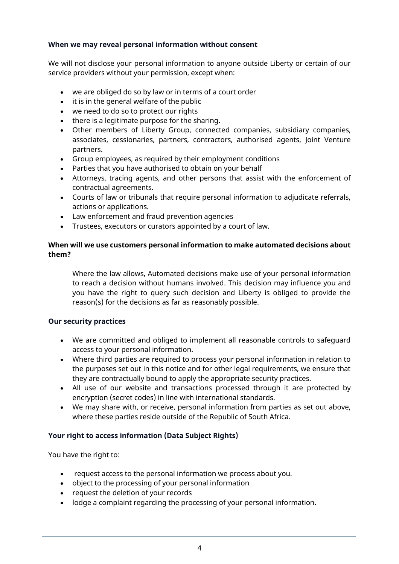#### **When we may reveal personal information without consent**

We will not disclose your personal information to anyone outside Liberty or certain of our service providers without your permission, except when:

- we are obliged do so by law or in terms of a court order
- it is in the general welfare of the public
- we need to do so to protect our rights
- there is a legitimate purpose for the sharing.
- Other members of Liberty Group, connected companies, subsidiary companies, associates, cessionaries, partners, contractors, authorised agents, Joint Venture partners.
- Group employees, as required by their employment conditions
- Parties that you have authorised to obtain on your behalf
- Attorneys, tracing agents, and other persons that assist with the enforcement of contractual agreements.
- Courts of law or tribunals that require personal information to adjudicate referrals, actions or applications.
- Law enforcement and fraud prevention agencies
- Trustees, executors or curators appointed by a court of law.

## **When will we use customers personal information to make automated decisions about them?**

Where the law allows, Automated decisions make use of your personal information to reach a decision without humans involved. This decision may influence you and you have the right to query such decision and Liberty is obliged to provide the reason(s) for the decisions as far as reasonably possible.

## **Our security practices**

- We are committed and obliged to implement all reasonable controls to safeguard access to your personal information.
- Where third parties are required to process your personal information in relation to the purposes set out in this notice and for other legal requirements, we ensure that they are contractually bound to apply the appropriate security practices.
- All use of our website and transactions processed through it are protected by encryption (secret codes) in line with international standards.
- We may share with, or receive, personal information from parties as set out above, where these parties reside outside of the Republic of South Africa.

## **Your right to access information (Data Subject Rights)**

You have the right to:

- request access to the personal information we process about you.
- object to the processing of your personal information
- request the deletion of your records
- lodge a complaint regarding the processing of your personal information.